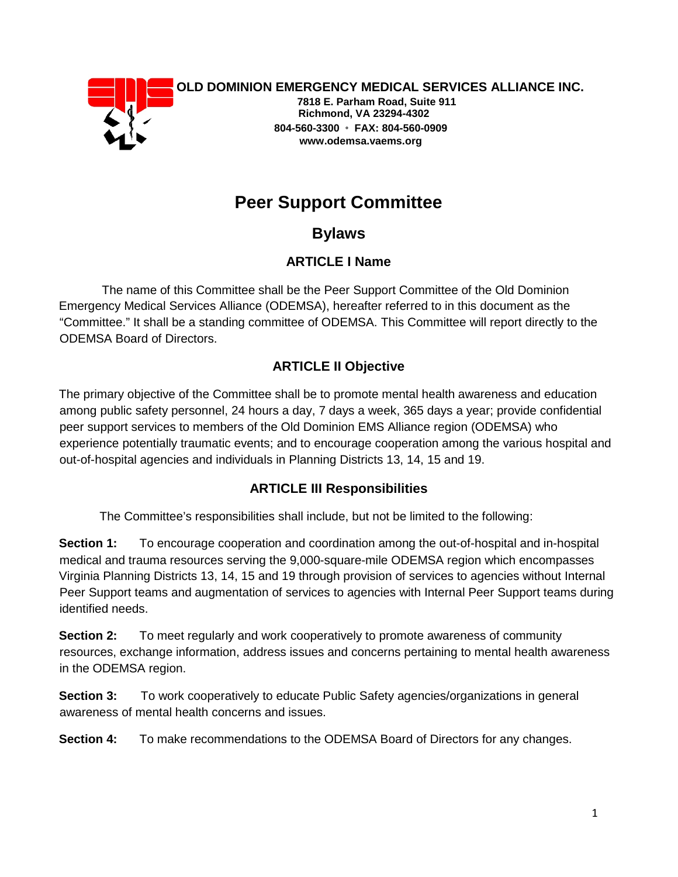

**OLD DOMINION EMERGENCY MEDICAL SERVICES ALLIANCE INC.** 

**7818 E. Parham Road, Suite 911 Richmond, VA 23294-4302 804-560-3300** ◦ **FAX: 804-560-0909 www.odemsa.vaems.org** 

# **Peer Support Committee**

**Bylaws** 

# **ARTICLE I Name**

The name of this Committee shall be the Peer Support Committee of the Old Dominion Emergency Medical Services Alliance (ODEMSA), hereafter referred to in this document as the "Committee." It shall be a standing committee of ODEMSA. This Committee will report directly to the ODEMSA Board of Directors.

# **ARTICLE II Objective**

The primary objective of the Committee shall be to promote mental health awareness and education among public safety personnel, 24 hours a day, 7 days a week, 365 days a year; provide confidential peer support services to members of the Old Dominion EMS Alliance region (ODEMSA) who experience potentially traumatic events; and to encourage cooperation among the various hospital and out-of-hospital agencies and individuals in Planning Districts 13, 14, 15 and 19.

## **ARTICLE III Responsibilities**

The Committee's responsibilities shall include, but not be limited to the following:

**Section 1:** To encourage cooperation and coordination among the out-of-hospital and in-hospital medical and trauma resources serving the 9,000-square-mile ODEMSA region which encompasses Virginia Planning Districts 13, 14, 15 and 19 through provision of services to agencies without Internal Peer Support teams and augmentation of services to agencies with Internal Peer Support teams during identified needs.

**Section 2:** To meet regularly and work cooperatively to promote awareness of community resources, exchange information, address issues and concerns pertaining to mental health awareness in the ODEMSA region.

**Section 3:** To work cooperatively to educate Public Safety agencies/organizations in general awareness of mental health concerns and issues.

**Section 4:** To make recommendations to the ODEMSA Board of Directors for any changes.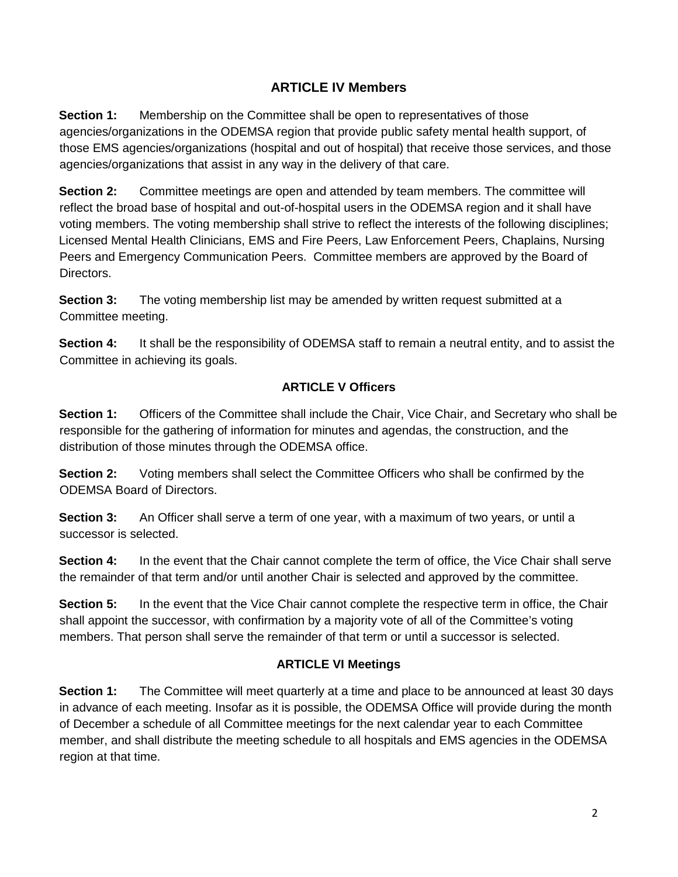## **ARTICLE IV Members**

**Section 1:** Membership on the Committee shall be open to representatives of those agencies/organizations in the ODEMSA region that provide public safety mental health support, of those EMS agencies/organizations (hospital and out of hospital) that receive those services, and those agencies/organizations that assist in any way in the delivery of that care.

**Section 2:** Committee meetings are open and attended by team members. The committee will reflect the broad base of hospital and out-of-hospital users in the ODEMSA region and it shall have voting members. The voting membership shall strive to reflect the interests of the following disciplines; Licensed Mental Health Clinicians, EMS and Fire Peers, Law Enforcement Peers, Chaplains, Nursing Peers and Emergency Communication Peers. Committee members are approved by the Board of Directors.

**Section 3:** The voting membership list may be amended by written request submitted at a Committee meeting.

**Section 4:** It shall be the responsibility of ODEMSA staff to remain a neutral entity, and to assist the Committee in achieving its goals.

## **ARTICLE V Officers**

**Section 1:** Officers of the Committee shall include the Chair, Vice Chair, and Secretary who shall be responsible for the gathering of information for minutes and agendas, the construction, and the distribution of those minutes through the ODEMSA office.

**Section 2:** Voting members shall select the Committee Officers who shall be confirmed by the ODEMSA Board of Directors.

**Section 3:** An Officer shall serve a term of one year, with a maximum of two years, or until a successor is selected.

**Section 4:** In the event that the Chair cannot complete the term of office, the Vice Chair shall serve the remainder of that term and/or until another Chair is selected and approved by the committee.

**Section 5:** In the event that the Vice Chair cannot complete the respective term in office, the Chair shall appoint the successor, with confirmation by a majority vote of all of the Committee's voting members. That person shall serve the remainder of that term or until a successor is selected.

## **ARTICLE VI Meetings**

**Section 1:** The Committee will meet quarterly at a time and place to be announced at least 30 days in advance of each meeting. Insofar as it is possible, the ODEMSA Office will provide during the month of December a schedule of all Committee meetings for the next calendar year to each Committee member, and shall distribute the meeting schedule to all hospitals and EMS agencies in the ODEMSA region at that time.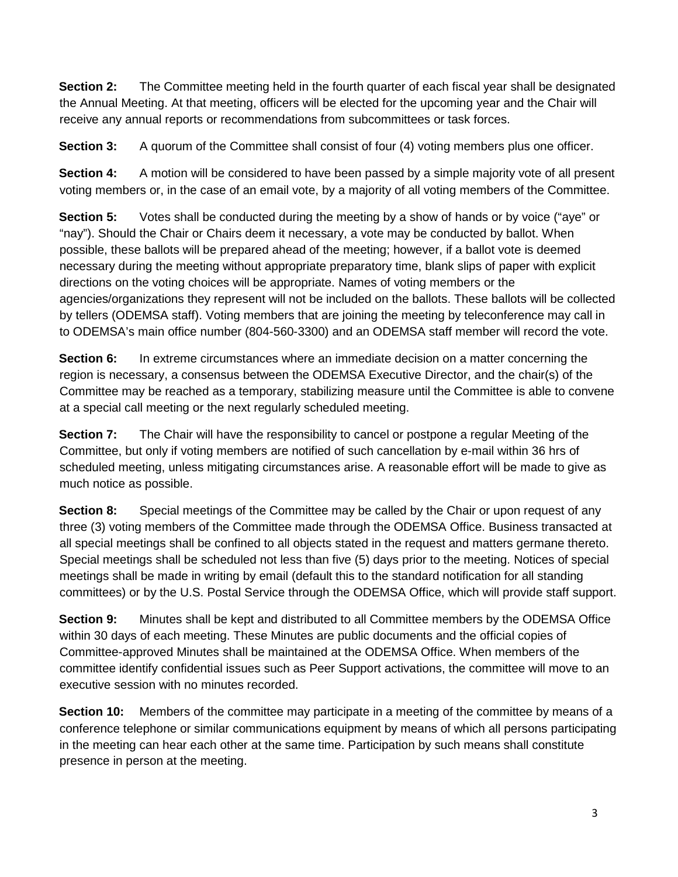**Section 2:** The Committee meeting held in the fourth quarter of each fiscal year shall be designated the Annual Meeting. At that meeting, officers will be elected for the upcoming year and the Chair will receive any annual reports or recommendations from subcommittees or task forces.

**Section 3:** A quorum of the Committee shall consist of four (4) voting members plus one officer.

**Section 4:** A motion will be considered to have been passed by a simple majority vote of all present voting members or, in the case of an email vote, by a majority of all voting members of the Committee.

**Section 5:** Votes shall be conducted during the meeting by a show of hands or by voice ("aye" or "nay"). Should the Chair or Chairs deem it necessary, a vote may be conducted by ballot. When possible, these ballots will be prepared ahead of the meeting; however, if a ballot vote is deemed necessary during the meeting without appropriate preparatory time, blank slips of paper with explicit directions on the voting choices will be appropriate. Names of voting members or the agencies/organizations they represent will not be included on the ballots. These ballots will be collected by tellers (ODEMSA staff). Voting members that are joining the meeting by teleconference may call in to ODEMSA's main office number (804-560-3300) and an ODEMSA staff member will record the vote.

**Section 6:** In extreme circumstances where an immediate decision on a matter concerning the region is necessary, a consensus between the ODEMSA Executive Director, and the chair(s) of the Committee may be reached as a temporary, stabilizing measure until the Committee is able to convene at a special call meeting or the next regularly scheduled meeting.

**Section 7:** The Chair will have the responsibility to cancel or postpone a regular Meeting of the Committee, but only if voting members are notified of such cancellation by e-mail within 36 hrs of scheduled meeting, unless mitigating circumstances arise. A reasonable effort will be made to give as much notice as possible.

**Section 8:** Special meetings of the Committee may be called by the Chair or upon request of any three (3) voting members of the Committee made through the ODEMSA Office. Business transacted at all special meetings shall be confined to all objects stated in the request and matters germane thereto. Special meetings shall be scheduled not less than five (5) days prior to the meeting. Notices of special meetings shall be made in writing by email (default this to the standard notification for all standing committees) or by the U.S. Postal Service through the ODEMSA Office, which will provide staff support.

**Section 9:** Minutes shall be kept and distributed to all Committee members by the ODEMSA Office within 30 days of each meeting. These Minutes are public documents and the official copies of Committee-approved Minutes shall be maintained at the ODEMSA Office. When members of the committee identify confidential issues such as Peer Support activations, the committee will move to an executive session with no minutes recorded.

**Section 10:** Members of the committee may participate in a meeting of the committee by means of a conference telephone or similar communications equipment by means of which all persons participating in the meeting can hear each other at the same time. Participation by such means shall constitute presence in person at the meeting.